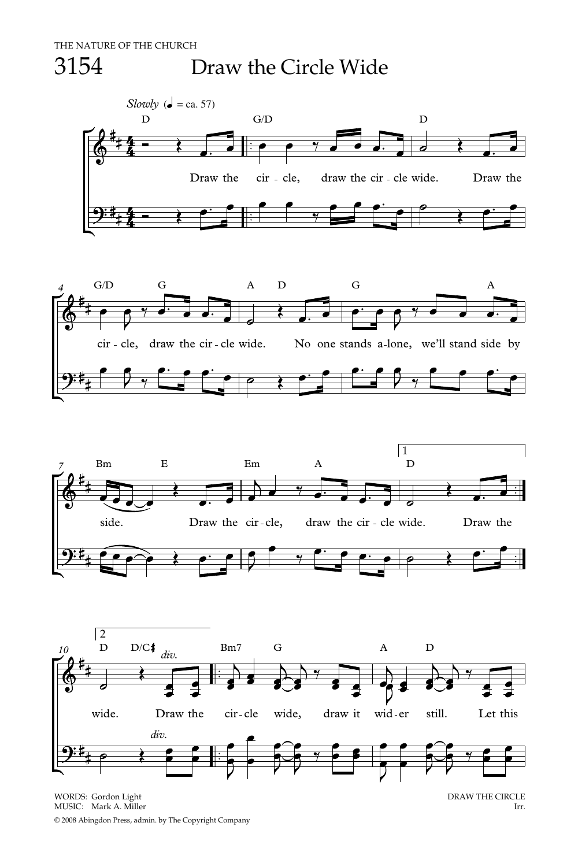## 3154 Draw the Circle Wide









WORDS: Gordon Light DRAW THE CIRCLE NUSIC: Mark A. Miller CHECLE NUSIC: Mark A. Miller CHECLE DRAW THE CIRCLE MUSIC: Mark A. Miller

© 2008 Abingdon Press, admin. by The Copyright Company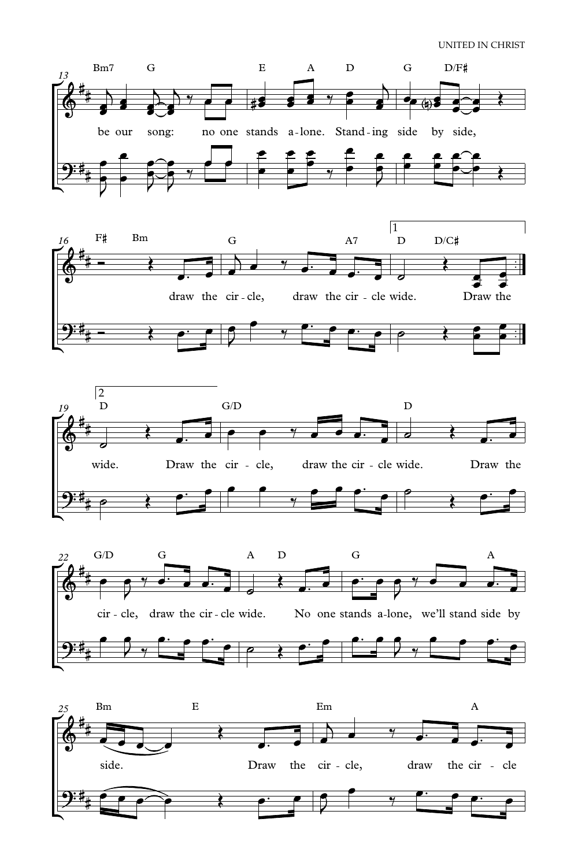## UNITED IN CHRIST